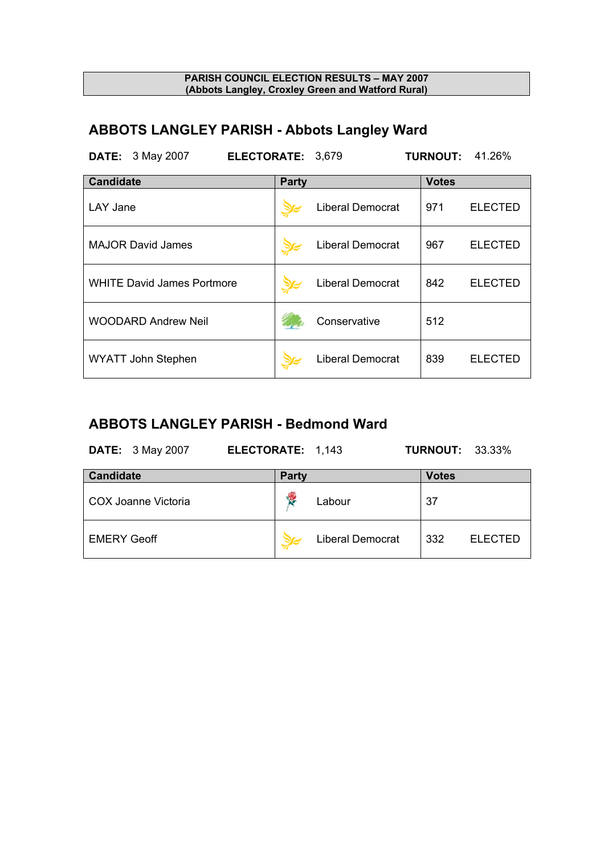# **ABBOTS LANGLEY PARISH - Abbots Langley Ward**

| <b>DATE:</b> 3 May 2007<br>ELECTORATE: 3,679 |       |                         |              | <b>TURNOUT: 41.26%</b> |
|----------------------------------------------|-------|-------------------------|--------------|------------------------|
| <b>Candidate</b>                             | Party |                         | <b>Votes</b> |                        |
| LAY Jane                                     |       | <b>Liberal Democrat</b> | 971          | <b>ELECTED</b>         |
| <b>MAJOR David James</b>                     |       | <b>Liberal Democrat</b> | 967          | <b>ELECTED</b>         |
| <b>WHITE David James Portmore</b>            |       | <b>Liberal Democrat</b> | 842          | <b>ELECTED</b>         |
| <b>WOODARD Andrew Neil</b>                   |       | Conservative            | 512          |                        |
| <b>WYATT John Stephen</b>                    |       | <b>Liberal Democrat</b> | 839          | <b>ELECTED</b>         |

## **ABBOTS LANGLEY PARISH - Bedmond Ward**

| <b>DATE:</b> 3 May 2007 | ELECTORATE: 1,143       | <b>TURNOUT: 33.33%</b> |
|-------------------------|-------------------------|------------------------|
| <b>Candidate</b>        | Party                   | <b>Votes</b>           |
| COX Joanne Victoria     | Y.<br>Labour            | 37                     |
| <b>EMERY Geoff</b>      | <b>Liberal Democrat</b> | 332<br><b>ELECTED</b>  |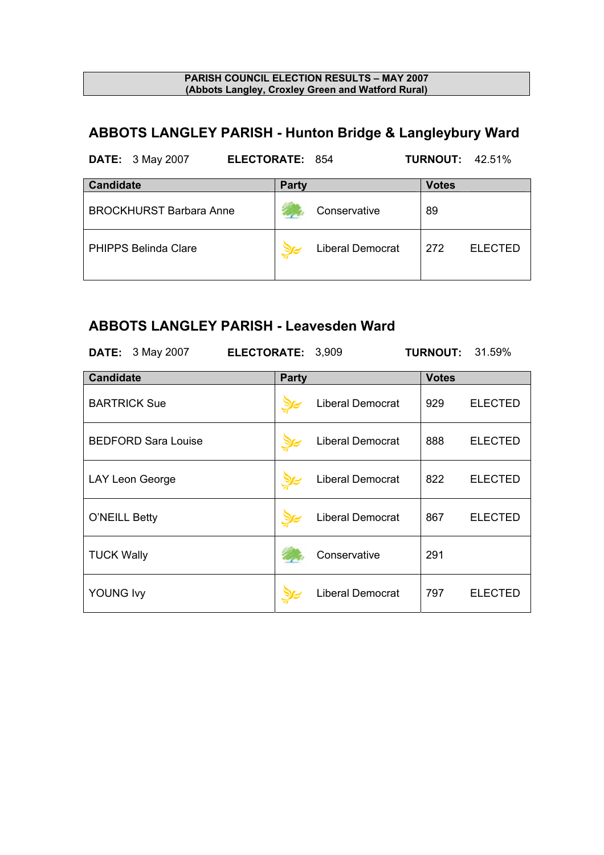# **ABBOTS LANGLEY PARISH - Hunton Bridge & Langleybury Ward**

| <b>DATE:</b> 3 May 2007        | <b>ELECTORATE: 854</b> |                         | <b>TURNOUT: 42.51%</b> |                |
|--------------------------------|------------------------|-------------------------|------------------------|----------------|
| <b>Candidate</b>               | <b>Party</b>           |                         | <b>Votes</b>           |                |
| <b>BROCKHURST Barbara Anne</b> |                        | Conservative            | 89                     |                |
| <b>PHIPPS Belinda Clare</b>    |                        | <b>Liberal Democrat</b> | 272                    | <b>ELECTED</b> |

## **ABBOTS LANGLEY PARISH - Leavesden Ward**

| <b>DATE:</b> 3 May 2007    | ELECTORATE: 3,909 |                         |              | <b>TURNOUT: 31.59%</b> |
|----------------------------|-------------------|-------------------------|--------------|------------------------|
| <b>Candidate</b>           | <b>Party</b>      |                         | <b>Votes</b> |                        |
| <b>BARTRICK Sue</b>        |                   | <b>Liberal Democrat</b> | 929          | <b>ELECTED</b>         |
| <b>BEDFORD Sara Louise</b> |                   | Liberal Democrat        | 888          | <b>ELECTED</b>         |
| LAY Leon George            |                   | <b>Liberal Democrat</b> | 822          | <b>ELECTED</b>         |
| O'NEILL Betty              |                   | <b>Liberal Democrat</b> | 867          | <b>ELECTED</b>         |
| <b>TUCK Wally</b>          |                   | Conservative            | 291          |                        |
| <b>YOUNG Ivy</b>           |                   | <b>Liberal Democrat</b> | 797          | <b>ELECTED</b>         |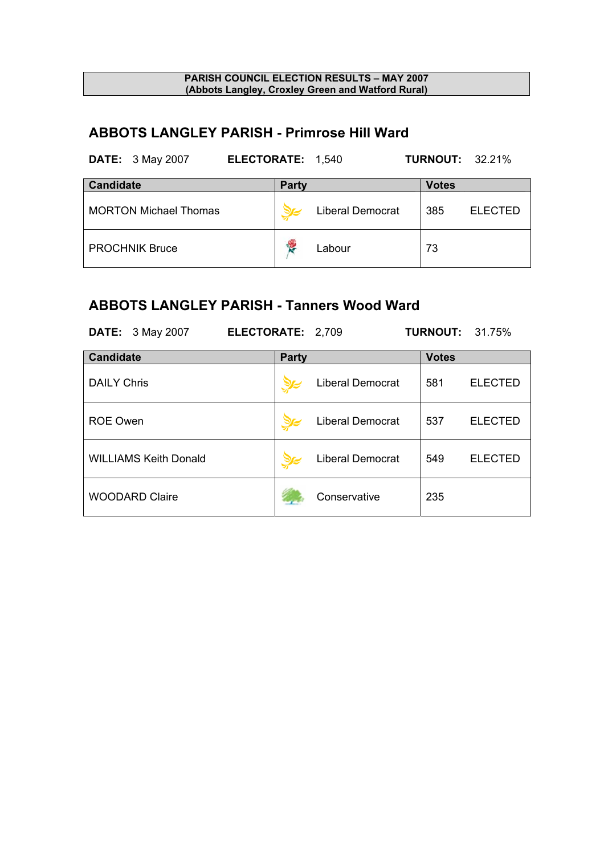## **ABBOTS LANGLEY PARISH - Primrose Hill Ward**

| <b>DATE:</b> 3 May 2007<br>ELECTORATE: 1,540 |              |                         |              | <b>TURNOUT: 32.21%</b> |
|----------------------------------------------|--------------|-------------------------|--------------|------------------------|
| <b>Candidate</b>                             | <b>Party</b> |                         | <b>Votes</b> |                        |
| <b>MORTON Michael Thomas</b>                 |              | <b>Liberal Democrat</b> | 385          | <b>ELECTED</b>         |
| <b>PROCHNIK Bruce</b>                        | ę            | Labour                  | 73           |                        |

### **ABBOTS LANGLEY PARISH - Tanners Wood Ward**

| <b>DATE:</b> 3 May 2007      | ELECTORATE: 2,709 |              |                         |              | <b>TURNOUT: 31.75%</b> |
|------------------------------|-------------------|--------------|-------------------------|--------------|------------------------|
| <b>Candidate</b>             |                   | <b>Party</b> |                         | <b>Votes</b> |                        |
| <b>DAILY Chris</b>           |                   |              | <b>Liberal Democrat</b> | 581          | <b>ELECTED</b>         |
| <b>ROE Owen</b>              |                   |              | <b>Liberal Democrat</b> | 537          | <b>ELECTED</b>         |
| <b>WILLIAMS Keith Donald</b> |                   |              | <b>Liberal Democrat</b> | 549          | <b>ELECTED</b>         |
| <b>WOODARD Claire</b>        |                   |              | Conservative            | 235          |                        |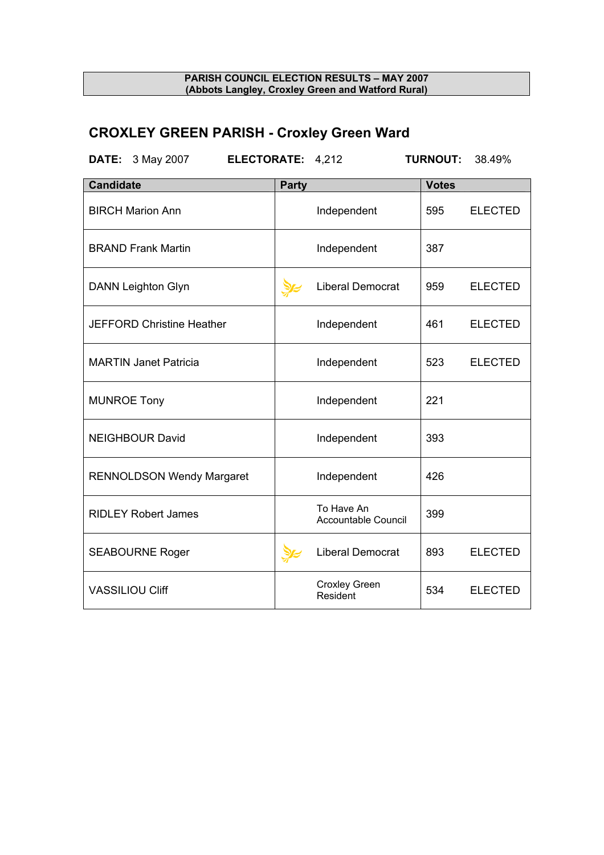# **CROXLEY GREEN PARISH - Croxley Green Ward**

| <b>DATE:</b> 3 May 2007   |                                  | ELECTORATE: 4,212 |       |                                   | <b>TURNOUT:</b> | 38.49%         |
|---------------------------|----------------------------------|-------------------|-------|-----------------------------------|-----------------|----------------|
| <b>Candidate</b>          |                                  |                   | Party |                                   | <b>Votes</b>    |                |
| <b>BIRCH Marion Ann</b>   |                                  |                   |       | Independent                       | 595             | <b>ELECTED</b> |
| <b>BRAND Frank Martin</b> |                                  |                   |       | Independent                       | 387             |                |
| <b>DANN Leighton Glyn</b> |                                  |                   |       | Liberal Democrat                  | 959             | <b>ELECTED</b> |
|                           | <b>JEFFORD Christine Heather</b> |                   |       | Independent                       | 461             | <b>ELECTED</b> |
|                           | <b>MARTIN Janet Patricia</b>     |                   |       | Independent                       | 523             | <b>ELECTED</b> |
| <b>MUNROE Tony</b>        |                                  |                   |       | Independent                       | 221             |                |
| <b>NEIGHBOUR David</b>    |                                  |                   |       | Independent                       | 393             |                |
|                           | <b>RENNOLDSON Wendy Margaret</b> |                   |       | Independent                       | 426             |                |
|                           | <b>RIDLEY Robert James</b>       |                   |       | To Have An<br>Accountable Council | 399             |                |
| <b>SEABOURNE Roger</b>    |                                  |                   |       | <b>Liberal Democrat</b>           | 893             | <b>ELECTED</b> |
| <b>VASSILIOU Cliff</b>    |                                  |                   |       | <b>Croxley Green</b><br>Resident  | 534             | <b>ELECTED</b> |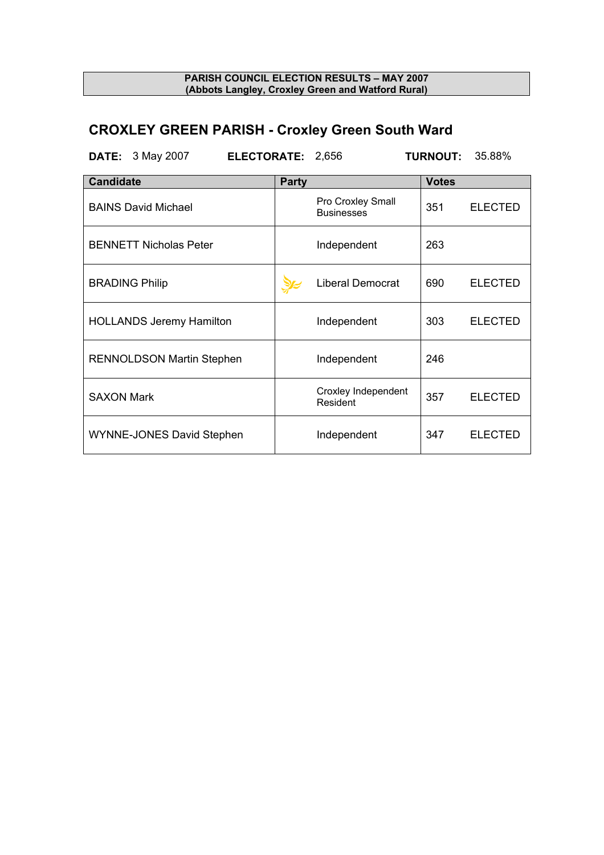# **CROXLEY GREEN PARISH - Croxley Green South Ward**

| ELECTORATE: 2,656<br><b>DATE:</b> 3 May 2007 |              |                                        | <b>TURNOUT:</b> | 35.88%         |
|----------------------------------------------|--------------|----------------------------------------|-----------------|----------------|
| <b>Candidate</b>                             | <b>Party</b> |                                        | <b>Votes</b>    |                |
| <b>BAINS David Michael</b>                   |              | Pro Croxley Small<br><b>Businesses</b> | 351             | <b>ELECTED</b> |
| <b>BENNETT Nicholas Peter</b>                |              | Independent                            | 263             |                |
| <b>BRADING Philip</b>                        |              | Liberal Democrat                       | 690             | <b>ELECTED</b> |
| <b>HOLLANDS Jeremy Hamilton</b>              |              | Independent                            | 303             | <b>ELECTED</b> |
| <b>RENNOLDSON Martin Stephen</b>             |              | Independent                            | 246             |                |
| <b>SAXON Mark</b>                            |              | Croxley Independent<br>Resident        | 357             | <b>ELECTED</b> |
| <b>WYNNE-JONES David Stephen</b>             |              | Independent                            | 347             | <b>ELECTED</b> |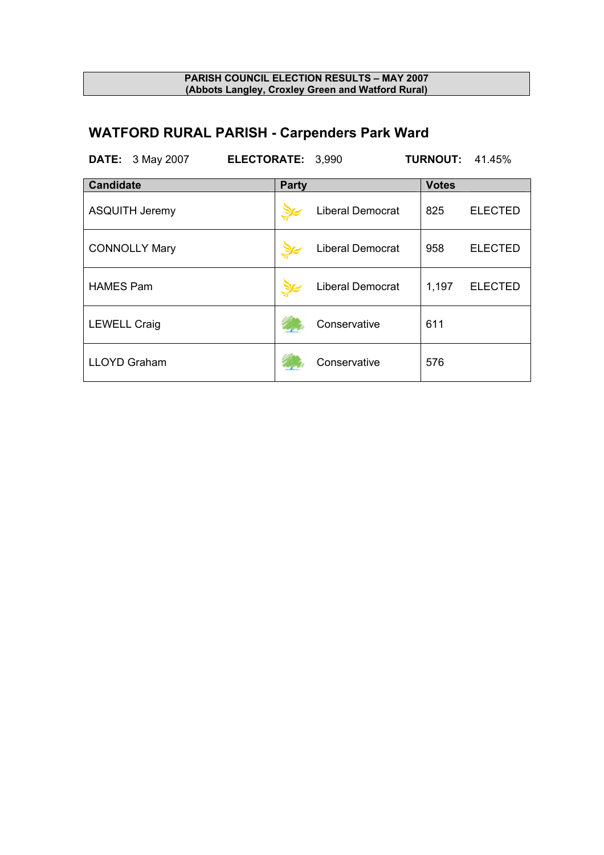# **WATFORD RURAL PARISH - Carpenders Park Ward**

| <b>DATE:</b> 3 May 2007 | ELECTORATE: 3,990 |                         |              | <b>TURNOUT: 41.45%</b> |
|-------------------------|-------------------|-------------------------|--------------|------------------------|
| <b>Candidate</b>        | <b>Party</b>      |                         | <b>Votes</b> |                        |
| <b>ASQUITH Jeremy</b>   |                   | <b>Liberal Democrat</b> | 825          | <b>ELECTED</b>         |
| <b>CONNOLLY Mary</b>    |                   | <b>Liberal Democrat</b> | 958          | <b>ELECTED</b>         |
| <b>HAMES Pam</b>        |                   | <b>Liberal Democrat</b> | 1,197        | <b>ELECTED</b>         |
| <b>LEWELL Craig</b>     |                   | Conservative            | 611          |                        |
| <b>LLOYD Graham</b>     |                   | Conservative            | 576          |                        |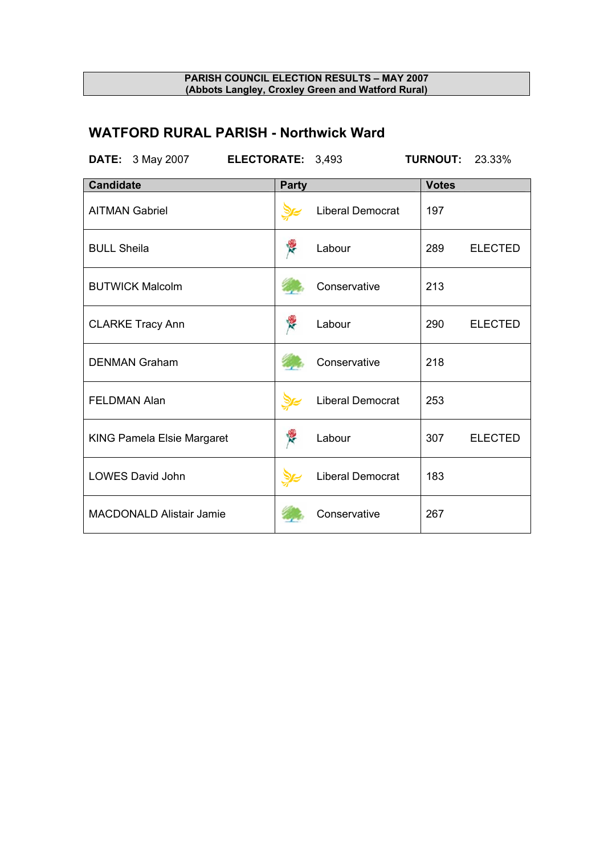## **WATFORD RURAL PARISH - Northwick Ward**

| <b>DATE:</b> 3 May 2007<br>ELECTORATE: 3,493 |              |                         | <b>TURNOUT:</b> | 23.33%         |
|----------------------------------------------|--------------|-------------------------|-----------------|----------------|
| <b>Candidate</b>                             | <b>Party</b> |                         | <b>Votes</b>    |                |
| <b>AITMAN Gabriel</b>                        |              | Liberal Democrat        | 197             |                |
| <b>BULL Sheila</b>                           | Ķ            | Labour                  | 289             | <b>ELECTED</b> |
| <b>BUTWICK Malcolm</b>                       |              | Conservative            | 213             |                |
| <b>CLARKE Tracy Ann</b>                      | ę            | Labour                  | 290             | <b>ELECTED</b> |
| <b>DENMAN Graham</b>                         |              | Conservative            | 218             |                |
| <b>FELDMAN Alan</b>                          |              | Liberal Democrat        | 253             |                |
| <b>KING Pamela Elsie Margaret</b>            | Ķ            | Labour                  | 307             | <b>ELECTED</b> |
| LOWES David John                             |              | <b>Liberal Democrat</b> | 183             |                |
| <b>MACDONALD Alistair Jamie</b>              |              | Conservative            | 267             |                |